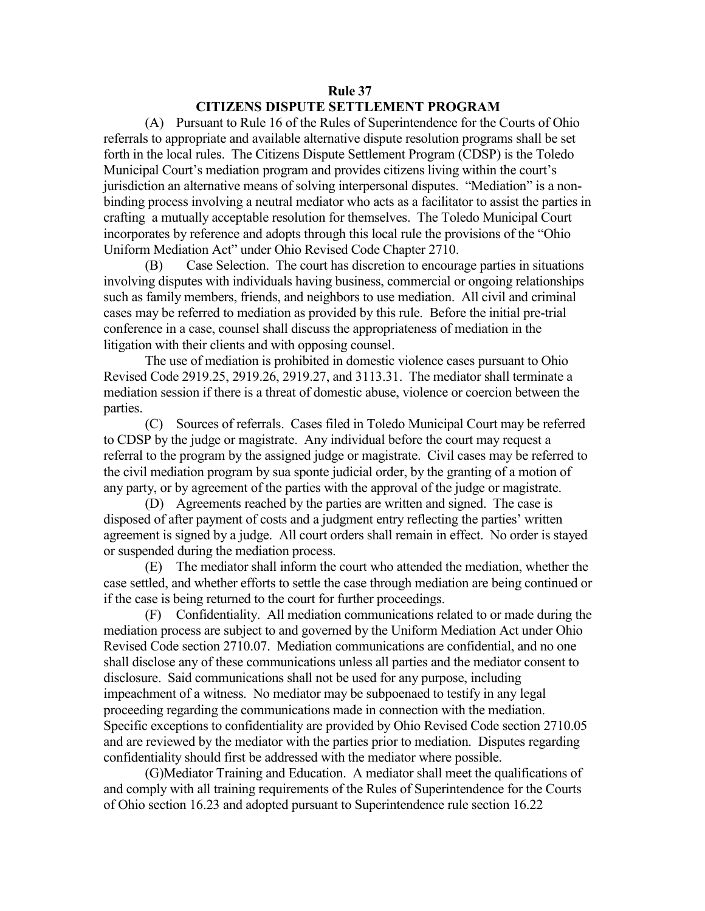## **Rule 37 CITIZENS DISPUTE SETTLEMENT PROGRAM**

(A) Pursuant to Rule 16 of the Rules of Superintendence for the Courts of Ohio referrals to appropriate and available alternative dispute resolution programs shall be set forth in the local rules. The Citizens Dispute Settlement Program (CDSP) is the Toledo Municipal Court's mediation program and provides citizens living within the court's jurisdiction an alternative means of solving interpersonal disputes. "Mediation" is a nonbinding process involving a neutral mediator who acts as a facilitator to assist the parties in crafting a mutually acceptable resolution for themselves. The Toledo Municipal Court incorporates by reference and adopts through this local rule the provisions of the "Ohio Uniform Mediation Act" under Ohio Revised Code Chapter 2710.

(B) Case Selection. The court has discretion to encourage parties in situations involving disputes with individuals having business, commercial or ongoing relationships such as family members, friends, and neighbors to use mediation. All civil and criminal cases may be referred to mediation as provided by this rule. Before the initial pre-trial conference in a case, counsel shall discuss the appropriateness of mediation in the litigation with their clients and with opposing counsel.

The use of mediation is prohibited in domestic violence cases pursuant to Ohio Revised Code 2919.25, 2919.26, 2919.27, and 3113.31. The mediator shall terminate a mediation session if there is a threat of domestic abuse, violence or coercion between the parties.

(C) Sources of referrals. Cases filed in Toledo Municipal Court may be referred to CDSP by the judge or magistrate. Any individual before the court may request a referral to the program by the assigned judge or magistrate. Civil cases may be referred to the civil mediation program by sua sponte judicial order, by the granting of a motion of any party, or by agreement of the parties with the approval of the judge or magistrate.

(D) Agreements reached by the parties are written and signed. The case is disposed of after payment of costs and a judgment entry reflecting the parties' written agreement is signed by a judge. All court orders shall remain in effect. No order is stayed or suspended during the mediation process.

(E) The mediator shall inform the court who attended the mediation, whether the case settled, and whether efforts to settle the case through mediation are being continued or if the case is being returned to the court for further proceedings.

(F) Confidentiality. All mediation communications related to or made during the mediation process are subject to and governed by the Uniform Mediation Act under Ohio Revised Code section 2710.07. Mediation communications are confidential, and no one shall disclose any of these communications unless all parties and the mediator consent to disclosure. Said communications shall not be used for any purpose, including impeachment of a witness. No mediator may be subpoenaed to testify in any legal proceeding regarding the communications made in connection with the mediation. Specific exceptions to confidentiality are provided by Ohio Revised Code section 2710.05 and are reviewed by the mediator with the parties prior to mediation. Disputes regarding confidentiality should first be addressed with the mediator where possible.

(G)Mediator Training and Education. A mediator shall meet the qualifications of and comply with all training requirements of the Rules of Superintendence for the Courts of Ohio section 16.23 and adopted pursuant to Superintendence rule section 16.22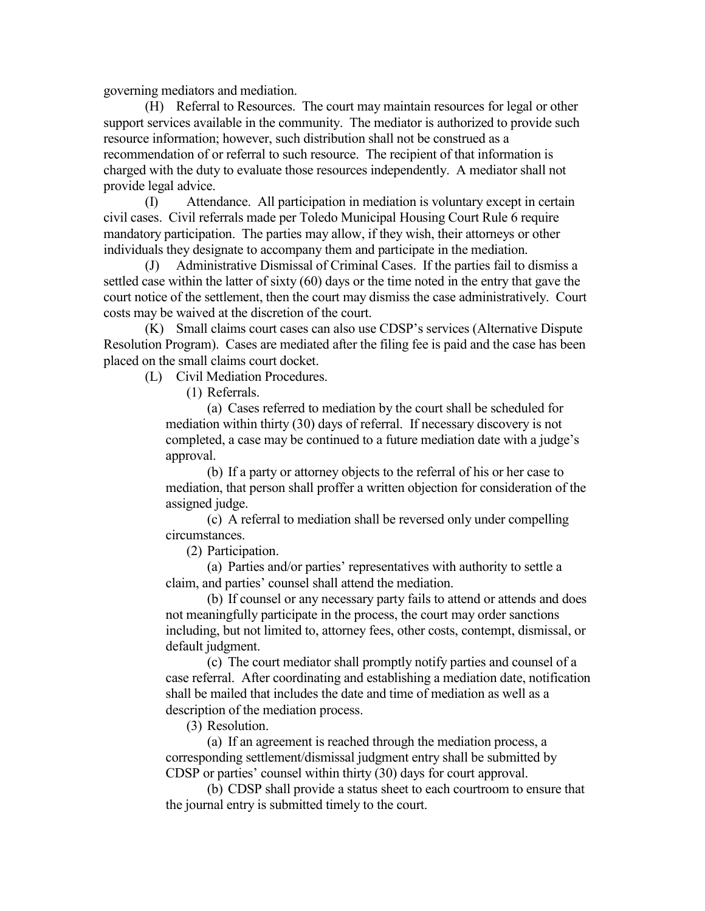governing mediators and mediation.

(H) Referral to Resources. The court may maintain resources for legal or other support services available in the community. The mediator is authorized to provide such resource information; however, such distribution shall not be construed as a recommendation of or referral to such resource. The recipient of that information is charged with the duty to evaluate those resources independently. A mediator shall not provide legal advice.

(I) Attendance. All participation in mediation is voluntary except in certain civil cases. Civil referrals made per Toledo Municipal Housing Court Rule 6 require mandatory participation. The parties may allow, if they wish, their attorneys or other individuals they designate to accompany them and participate in the mediation.

(J) Administrative Dismissal of Criminal Cases. If the parties fail to dismiss a settled case within the latter of sixty (60) days or the time noted in the entry that gave the court notice of the settlement, then the court may dismiss the case administratively. Court costs may be waived at the discretion of the court.

(K) Small claims court cases can also use CDSP's services (Alternative Dispute Resolution Program). Cases are mediated after the filing fee is paid and the case has been placed on the small claims court docket.

(L) Civil Mediation Procedures.

(1) Referrals.

(a) Cases referred to mediation by the court shall be scheduled for mediation within thirty (30) days of referral. If necessary discovery is not completed, a case may be continued to a future mediation date with a judge's approval.

(b) If a party or attorney objects to the referral of his or her case to mediation, that person shall proffer a written objection for consideration of the assigned judge.

(c) A referral to mediation shall be reversed only under compelling circumstances.

(2) Participation.

(a) Parties and/or parties' representatives with authority to settle a claim, and parties' counsel shall attend the mediation.

(b) If counsel or any necessary party fails to attend or attends and does not meaningfully participate in the process, the court may order sanctions including, but not limited to, attorney fees, other costs, contempt, dismissal, or default judgment.

(c) The court mediator shall promptly notify parties and counsel of a case referral. After coordinating and establishing a mediation date, notification shall be mailed that includes the date and time of mediation as well as a description of the mediation process.

(3) Resolution.

(a) If an agreement is reached through the mediation process, a corresponding settlement/dismissal judgment entry shall be submitted by CDSP or parties' counsel within thirty (30) days for court approval.

(b) CDSP shall provide a status sheet to each courtroom to ensure that the journal entry is submitted timely to the court.